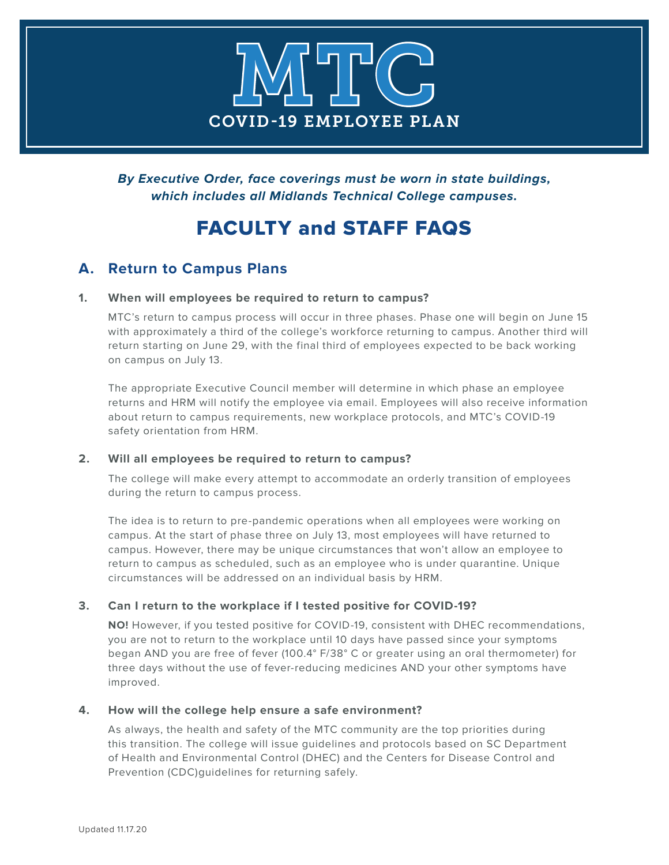

**By Executive Order, face coverings must be worn in state buildings, which includes all Midlands Technical College campuses.**

## FACULTY and STAFF FAQS

## **A. Return to Campus Plans**

## **1. When will employees be required to return to campus?**

 MTC's return to campus process will occur in three phases. Phase one will begin on June 15 with approximately a third of the college's workforce returning to campus. Another third will return starting on June 29, with the final third of employees expected to be back working on campus on July 13.

 The appropriate Executive Council member will determine in which phase an employee returns and HRM will notify the employee via email. Employees will also receive information about return to campus requirements, new workplace protocols, and MTC's COVID-19 safety orientation from HRM.

## **2. Will all employees be required to return to campus?**

The college will make every attempt to accommodate an orderly transition of employees during the return to campus process.

The idea is to return to pre-pandemic operations when all employees were working on campus. At the start of phase three on July 13, most employees will have returned to campus. However, there may be unique circumstances that won't allow an employee to return to campus as scheduled, such as an employee who is under quarantine. Unique circumstances will be addressed on an individual basis by HRM.

## **3. Can I return to the workplace if I tested positive for COVID-19?**

**NO!** However, if you tested positive for COVID-19, consistent with DHEC recommendations, you are not to return to the workplace until 10 days have passed since your symptoms began AND you are free of fever (100.4° F/38° C or greater using an oral thermometer) for three days without the use of fever-reducing medicines AND your other symptoms have improved.

## **4. How will the college help ensure a safe environment?**

 As always, the health and safety of the MTC community are the top priorities during this transition. The college will issue guidelines and protocols based on SC Department of Health and Environmental Control (DHEC) and the Centers for Disease Control and Prevention (CDC)guidelines for returning safely.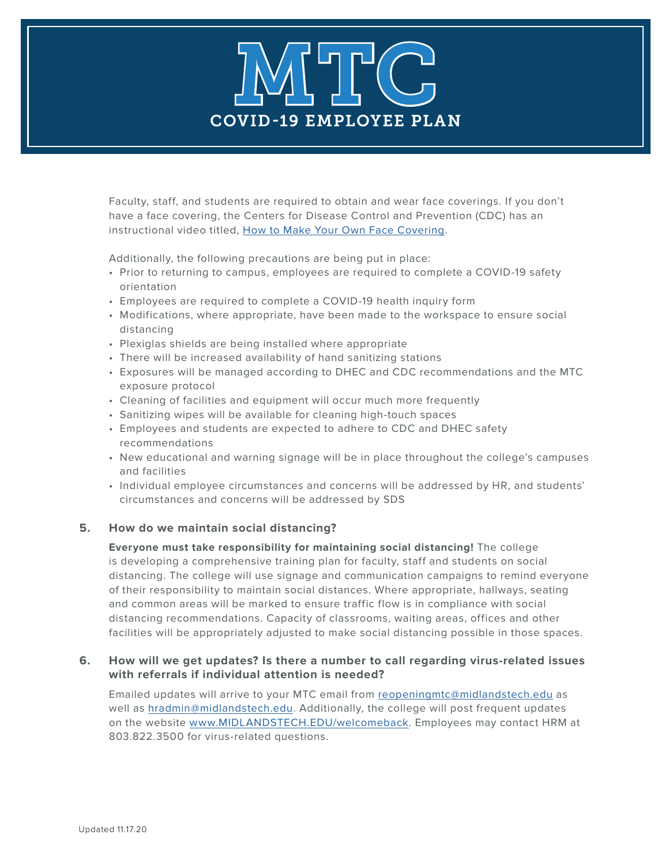# COVID-19 EMPLOYEE PLAN MTTC

 Faculty, staff, and students are required to obtain and wear face coverings. If you don't have a face covering, the Centers for Disease Control and Prevention (CDC) has an instructional video titled, [How to Make Your Own Face Covering](https://www.cdc.gov/coronavirus/2019-ncov/prevent-getting-sick/cloth-face-cover.html).

Additionally, the following precautions are being put in place:

- Prior to returning to campus, employees are required to complete a COVID-19 safety orientation
- Employees are required to complete a COVID-19 health inquiry form
- Modifications, where appropriate, have been made to the workspace to ensure social distancing
- Plexiglas shields are being installed where appropriate
- There will be increased availability of hand sanitizing stations
- E xposures will be managed according to DHEC and CDC recommendations and the MTC exposure protocol
- Cleaning of facilities and equipment will occur much more frequently
- Sanitizing wipes will be available for cleaning high-touch spaces
- Employees and students are expected to adhere to CDC and DHEC safety recommendations
- New educational and warning signage will be in place throughout the college's campuses and facilities
- Individual employee circumstances and concerns will be addressed by HR, and students' circumstances and concerns will be addressed by SDS

## **5. How do we maintain social distancing?**

 **Everyone must take responsibility for maintaining social distancing!** The college is developing a comprehensive training plan for faculty, staff and students on social distancing. The college will use signage and communication campaigns to remind everyone of their responsibility to maintain social distances. Where appropriate, hallways, seating and common areas will be marked to ensure traffic flow is in compliance with social distancing recommendations. Capacity of classrooms, waiting areas, offices and other facilities will be appropriately adjusted to make social distancing possible in those spaces.

## **6. How will we get updates? Is there a number to call regarding virus-related issues with referrals if individual attention is needed?**

 Emailed updates will arrive to your MTC email from [reopeningmtc@midlandstech.edu](mailto:reopeningmtc%40midlandstech.edu?subject=) as well as [hradmin@midlandstech.edu](mailto:hradmin%40midlandstech.edu?subject=). Additionally, the college will post frequent updates on the website [www.MIDLANDSTECH.EDU/welcomeback](http://www.MIDLANDSTECH.EDU/welcomeback). Employees may contact HRM at 803.822.3500 for virus-related questions.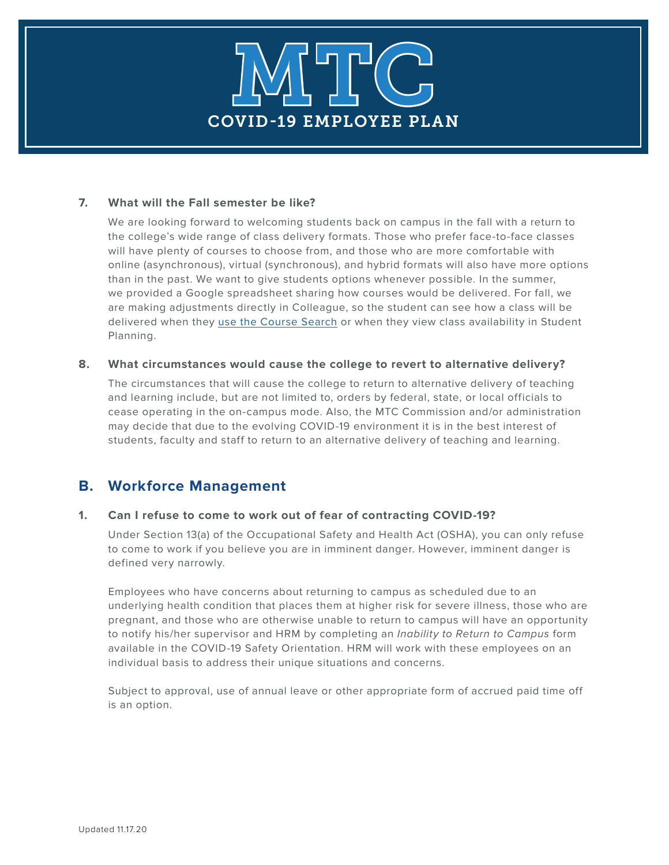

#### **7. What will the Fall semester be like?**

 We are looking forward to welcoming students back on campus in the fall with a return to the college's wide range of class delivery formats. Those who prefer face-to-face classes will have plenty of courses to choose from, and those who are more comfortable with online (asynchronous), virtual (synchronous), and hybrid formats will also have more options than in the past. We want to give students options whenever possible. In the summer, we provided a Google spreadsheet sharing how courses would be delivered. For fall, we are making adjustments directly in Colleague, so the student can see how a class will be delivered when they [use the Course Search](https://mtconline.midlandstech.edu/mtcacsearch/coursesearch) or when they view class availability in Student Planning.

## **8. What circumstances would cause the college to revert to alternative delivery?**

 The circumstances that will cause the college to return to alternative delivery of teaching and learning include, but are not limited to, orders by federal, state, or local officials to cease operating in the on-campus mode. Also, the MTC Commission and/or administration may decide that due to the evolving COVID-19 environment it is in the best interest of students, faculty and staff to return to an alternative delivery of teaching and learning.

## **B. Workforce Management**

## **1. Can I refuse to come to work out of fear of contracting COVID-19?**

 Under Section 13(a) of the Occupational Safety and Health Act (OSHA), you can only refuse to come to work if you believe you are in imminent danger. However, imminent danger is defined very narrowly.

 Employees who have concerns about returning to campus as scheduled due to an underlying health condition that places them at higher risk for severe illness, those who are pregnant, and those who are otherwise unable to return to campus will have an opportunity to notify his/her supervisor and HRM by completing an *Inability to Return to Campus* form available in the COVID-19 Safety Orientation. HRM will work with these employees on an individual basis to address their unique situations and concerns.

 Subject to approval, use of annual leave or other appropriate form of accrued paid time off is an option.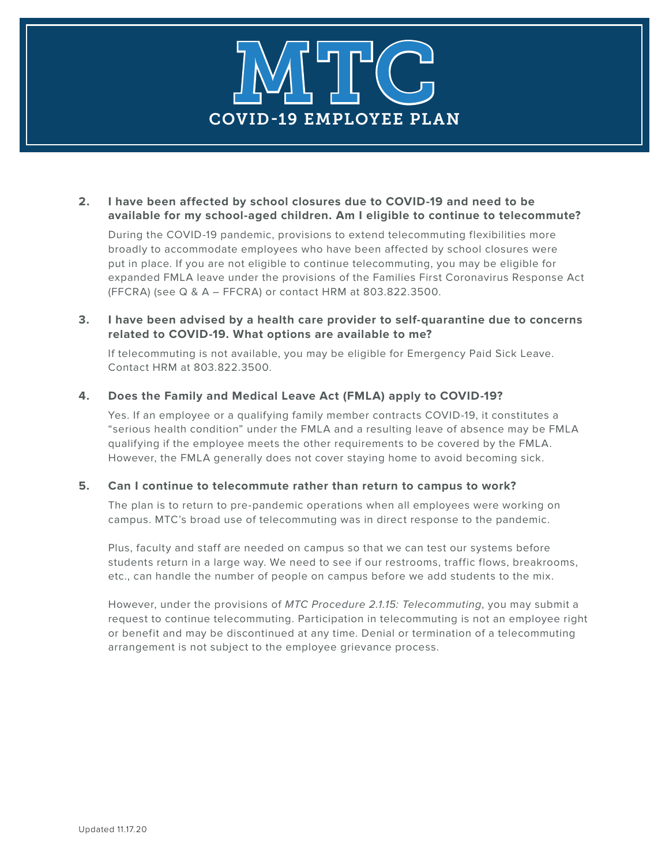# COVID-19 EMPLOYEE PLAN MTTC

## **2. I have been affected by school closures due to COVID-19 and need to be available for my school-aged children. Am I eligible to continue to telecommute?**

During the COVID-19 pandemic, provisions to extend telecommuting flexibilities more broadly to accommodate employees who have been affected by school closures were put in place. If you are not eligible to continue telecommuting, you may be eligible for expanded FMLA leave under the provisions of the Families First Coronavirus Response Act (FFCRA) (see Q & A – FFCRA) or contact HRM at 803.822.3500.

## **3. I have been advised by a health care provider to self-quarantine due to concerns related to COVID-19. What options are available to me?**

 If telecommuting is not available, you may be eligible for Emergency Paid Sick Leave. Contact HRM at 803.822.3500.

## **4. Does the Family and Medical Leave Act (FMLA) apply to COVID-19?**

 Yes. If an employee or a qualifying family member contracts COVID-19, it constitutes a "serious health condition" under the FMLA and a resulting leave of absence may be FMLA qualifying if the employee meets the other requirements to be covered by the FMLA. However, the FMLA generally does not cover staying home to avoid becoming sick.

## **5. Can I continue to telecommute rather than return to campus to work?**

The plan is to return to pre-pandemic operations when all employees were working on campus. MTC's broad use of telecommuting was in direct response to the pandemic.

 Plus, faculty and staff are needed on campus so that we can test our systems before students return in a large way. We need to see if our restrooms, traffic flows, breakrooms, etc., can handle the number of people on campus before we add students to the mix.

 However, under the provisions of MTC Procedure 2.1.15: Telecommuting, you may submit a request to continue telecommuting. Participation in telecommuting is not an employee right or benefit and may be discontinued at any time. Denial or termination of a telecommuting arrangement is not subject to the employee grievance process.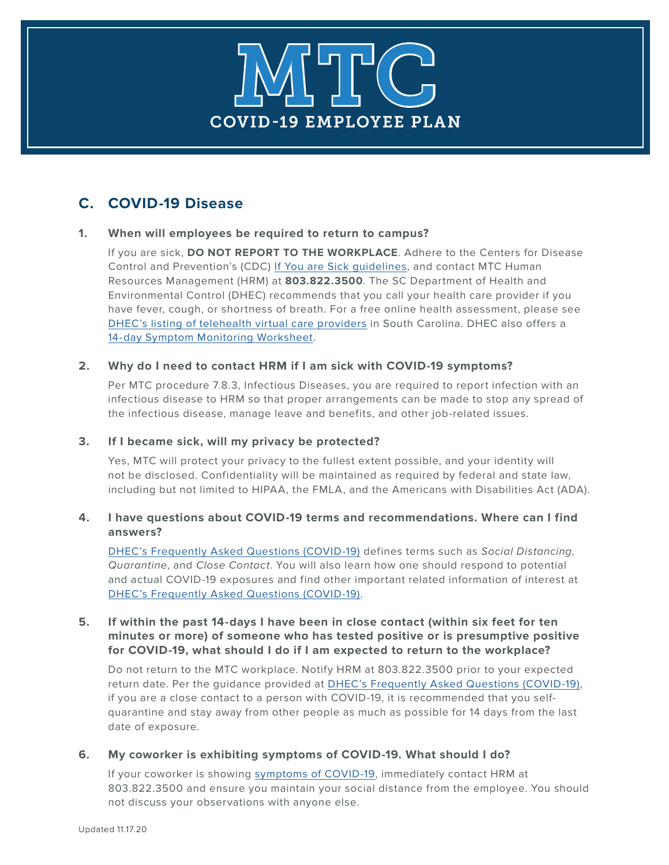# COVID-19 EMPLOYEE PLAN MTTC

## **C. COVID-19 Disease**

## **1. When will employees be required to return to campus?**

 If you are sick, **DO NOT REPORT TO THE WORKPLACE**. Adhere to the Centers for Disease Control and Prevention's (CDC) [If You are Sick guidelines,](https://www.cdc.gov/coronavirus/2019-ncov/if-you-are-sick/steps-when-sick.html) and contact MTC Human Resources Management (HRM) at **803.822.3500**. The SC Department of Health and Environmental Control (DHEC) recommends that you call your health care provider if you have fever, cough, or shortness of breath. For a free online health assessment, please see [DHEC's listing of telehealth virtual care providers](https://www.scdhec.gov/infectious-diseases/viruses/coronavirus-disease-2019-covid-19/telehealth-virtual-care-providers-covid-19) in South Carolina. DHEC also offers a [14-day Symptom Monitoring Worksheet.](https://www.scdhec.gov/sites/default/files/media/document/Information_and_14-day_Monitoring_Sheet.pdf)

## **2. Why do I need to contact HRM if I am sick with COVID-19 symptoms?**

 Per MTC procedure 7.8.3, Infectious Diseases, you are required to report infection with an infectious disease to HRM so that proper arrangements can be made to stop any spread of the infectious disease, manage leave and benefits, and other job-related issues.

## **3. If I became sick, will my privacy be protected?**

 Yes, MTC will protect your privacy to the fullest extent possible, and your identity will not be disclosed. Confidentiality will be maintained as required by federal and state law, including but not limited to HIPAA, the FMLA, and the Americans with Disabilities Act (ADA).

## **4. I have questions about COVID-19 terms and recommendations. Where can I find answers?**

 [DHEC's Frequently Asked Questions \(COVID-19\)](https://www.scdhec.gov/infectious-diseases/viruses/coronavirus-disease-2019-covid-19/frequently-asked-questions-covid-19) defines terms such as Social Distancing, Quarantine, and Close Contact. You will also learn how one should respond to potential and actual COVID-19 exposures and find other important related information of interest at [DHEC's Frequently Asked Questions \(COVID-19\).](https://www.scdhec.gov/infectious-diseases/viruses/coronavirus-disease-2019-covid-19/frequently-asked-questions-covid-19)

## **5. If within the past 14-days I have been in close contact (within six feet for ten minutes or more) of someone who has tested positive or is presumptive positive for COVID-19, what should I do if I am expected to return to the workplace?**

 Do not return to the MTC workplace. Notify HRM at 803.822.3500 prior to your expected return date. Per the guidance provided at [DHEC's Frequently Asked Questions \(COVID-19\),](https://www.scdhec.gov/infectious-diseases/viruses/coronavirus-disease-2019-covid-19/frequently-asked-questions-covid-19) if you are a close contact to a person with COVID-19, it is recommended that you selfquarantine and stay away from other people as much as possible for 14 days from the last date of exposure.

## **6. My coworker is exhibiting symptoms of COVID-19. What should I do?**

 If your coworker is showing [symptoms of COVID-19](https://www.cdc.gov/coronavirus/2019-ncov/downloads/2019-ncov-factsheet.pdf), immediately contact HRM at 803.822.3500 and ensure you maintain your social distance from the employee. You should not discuss your observations with anyone else.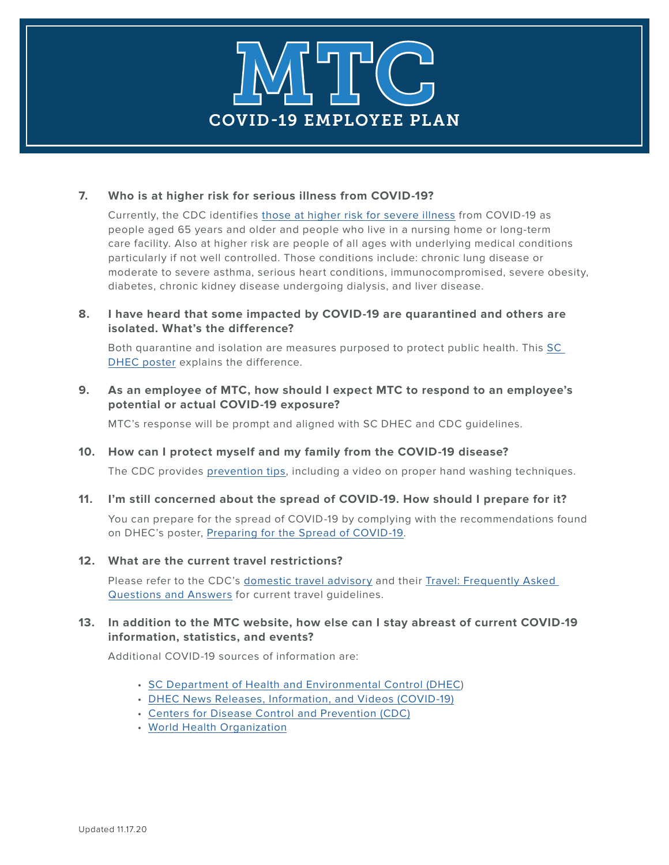

## **7. Who is at higher risk for serious illness from COVID-19?**

 Currently, the CDC identifies [those at higher risk for severe illness](https://www.cdc.gov/coronavirus/2019-ncov/need-extra-precautions/people-at-higher-risk.html) from COVID-19 as people aged 65 years and older and people who live in a nursing home or long-term care facility. Also at higher risk are people of all ages with underlying medical conditions particularly if not well controlled. Those conditions include: chronic lung disease or moderate to severe asthma, serious heart conditions, immunocompromised, severe obesity, diabetes, chronic kidney disease undergoing dialysis, and liver disease.

## **8. I have heard that some impacted by COVID-19 are quarantined and others are isolated. What's the difference?**

 Both quarantine and isolation are measures purposed to protect public health. This [SC](https://www.scdhec.gov/sites/default/files/Library/CR-012593.pdf) [DHEC poster](https://www.scdhec.gov/sites/default/files/Library/CR-012593.pdf) explains the difference.

## **9. As an employee of MTC, how should I expect MTC to respond to an employee's potential or actual COVID-19 exposure?**

MTC's response will be prompt and aligned with SC DHEC and CDC guidelines.

## **10. How can I protect myself and my family from the COVID-19 disease?**

The CDC provides [prevention tips,](https://www.cdc.gov/coronavirus/2019-ncov/prepare/prevention.html) including a video on proper hand washing techniques.

## **11. I'm still concerned about the spread of COVID-19. How should I prepare for it?**

You can prepare for the spread of COVID-19 by complying with the recommendations found on DHEC's poster, [Preparing for the Spread of COVID-19](https://www.scdhec.gov/sites/default/files/Library/CR-012590.pdf).

## **12. What are the current travel restrictions?**

 Please refer to the CDC's [domestic travel advisory](https://www.cdc.gov/coronavirus/2019-ncov/travelers/travel-in-the-us.html) and their [Travel: Frequently Asked](https://www.cdc.gov/coronavirus/2019-ncov/travelers/faqs.html) [Questions and Answers](https://www.cdc.gov/coronavirus/2019-ncov/travelers/faqs.html) for current travel guidelines.

## **13. In addition to the MTC website, how else can I stay abreast of current COVID-19 information, statistics, and events?**

Additional COVID-19 sources of information are:

- [SC Department of Health and Environmental Control \(DHEC](https://www.scdhec.gov/infectious-diseases/viruses/coronavirus-disease-2019-covid-19))
- [DHEC News Releases, Information, and Videos \(COVID-19\)](https://www.scdhec.gov/infectious-diseases/viruses/coronavirus-disease-2019-covid-19/dhec-news-releases-videos-2019-ncov)
- [Centers for Disease Control and Prevention \(CDC\)](https://www.cdc.gov/coronavirus/2019-ncov/index.html)
- [World Health Organization](https://www.who.int/emergencies/diseases/novel-coronavirus-2019)